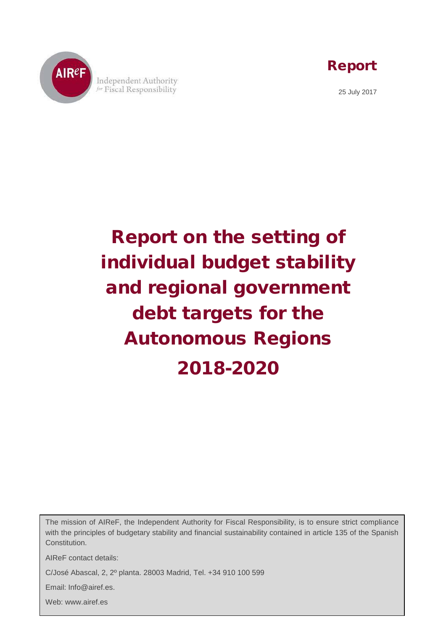

Report

25 July 2017

Report on the setting of individual budget stability and regional government debt targets for the Autonomous Regions 2018-2020

The mission of AIReF, the Independent Authority for Fiscal Responsibility, is to ensure strict compliance with the principles of budgetary stability and financial sustainability contained in article 135 of the Spanish Constitution.

Esta documentación puede ser utilizada y reproducida en parte o en su integridad citando necesariamente

AIReF contact details:

C/José Abascal, 2, 2º planta. 28003 Madrid, Tel. +34 910 100 599

Email: Info@airef.es.

Web: www.airef.es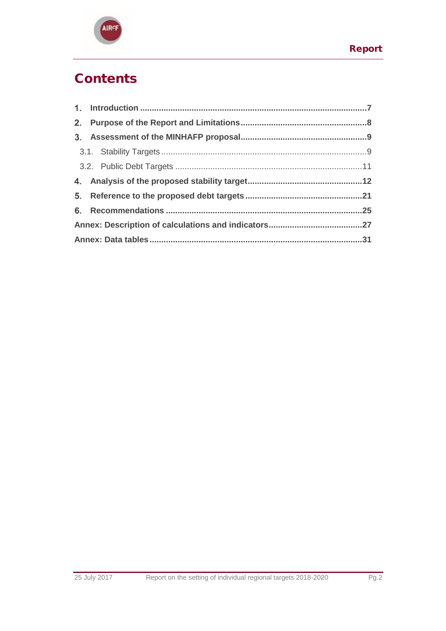

# **Contents**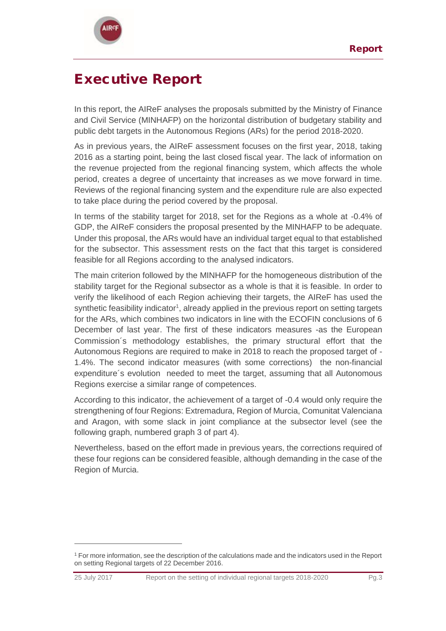

 $\overline{a}$ 

# Executive Report

In this report, the AIReF analyses the proposals submitted by the Ministry of Finance and Civil Service (MINHAFP) on the horizontal distribution of budgetary stability and public debt targets in the Autonomous Regions (ARs) for the period 2018-2020.

As in previous years, the AIReF assessment focuses on the first year, 2018, taking 2016 as a starting point, being the last closed fiscal year. The lack of information on the revenue projected from the regional financing system, which affects the whole period, creates a degree of uncertainty that increases as we move forward in time. Reviews of the regional financing system and the expenditure rule are also expected to take place during the period covered by the proposal.

In terms of the stability target for 2018, set for the Regions as a whole at -0.4% of GDP, the AIReF considers the proposal presented by the MINHAFP to be adequate. Under this proposal, the ARs would have an individual target equal to that established for the subsector. This assessment rests on the fact that this target is considered feasible for all Regions according to the analysed indicators.

The main criterion followed by the MINHAFP for the homogeneous distribution of the stability target for the Regional subsector as a whole is that it is feasible. In order to verify the likelihood of each Region achieving their targets, the AIReF has used the synthetic feasibility indicator<sup>1</sup>, already applied in the previous report on setting targets for the ARs, which combines two indicators in line with the ECOFIN conclusions of 6 December of last year. The first of these indicators measures -as the European Commission´s methodology establishes, the primary structural effort that the Autonomous Regions are required to make in 2018 to reach the proposed target of - 1.4%. The second indicator measures (with some corrections) the non-financial expenditure´s evolution needed to meet the target, assuming that all Autonomous Regions exercise a similar range of competences.

According to this indicator, the achievement of a target of -0.4 would only require the strengthening of four Regions: Extremadura, Region of Murcia, Comunitat Valenciana and Aragon, with some slack in joint compliance at the subsector level (see the following graph, numbered graph 3 of part 4).

Nevertheless, based on the effort made in previous years, the corrections required of these four regions can be considered feasible, although demanding in the case of the Region of Murcia.

<sup>&</sup>lt;sup>1</sup> For more information, see the description of the calculations made and the indicators used in the Report on setting Regional targets of 22 December 2016.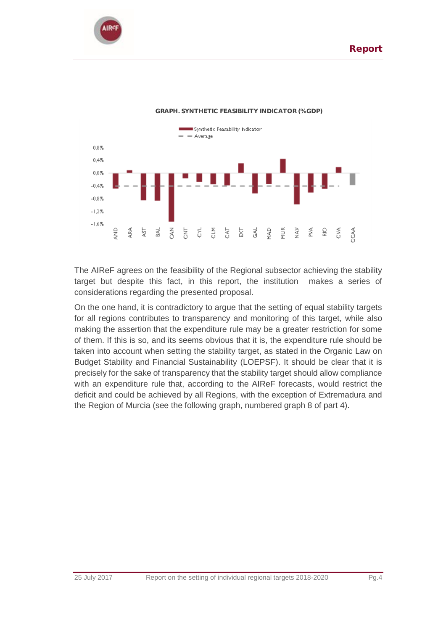



### **GRAPH. SYNTHETIC FEASIBILITY INDICATOR (% GDP)**

The AIReF agrees on the feasibility of the Regional subsector achieving the stability target but despite this fact, in this report, the institution makes a series of considerations regarding the presented proposal.

On the one hand, it is contradictory to argue that the setting of equal stability targets for all regions contributes to transparency and monitoring of this target, while also making the assertion that the expenditure rule may be a greater restriction for some of them. If this is so, and its seems obvious that it is, the expenditure rule should be taken into account when setting the stability target, as stated in the Organic Law on Budget Stability and Financial Sustainability (LOEPSF). It should be clear that it is precisely for the sake of transparency that the stability target should allow compliance with an expenditure rule that, according to the AIReF forecasts, would restrict the deficit and could be achieved by all Regions, with the exception of Extremadura and the Region of Murcia (see the following graph, numbered graph 8 of part 4).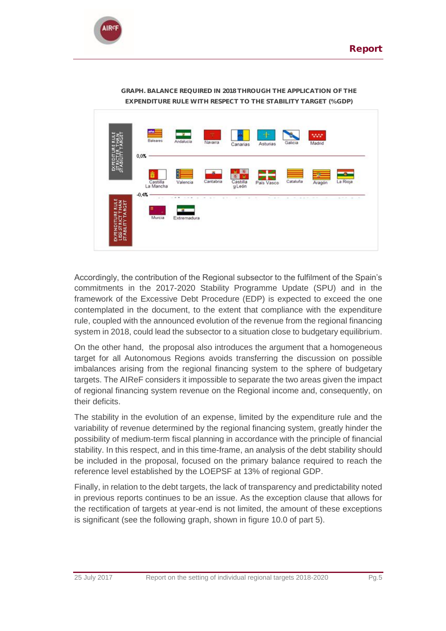



**GRAPH. BALANCE REQUIRED IN 2018 THROUGH THE APPLICATION OF THE EXPENDITURE RULE WITH RESPECT TO THE STABILITY TARGET (% GDP)**

Accordingly, the contribution of the Regional subsector to the fulfilment of the Spain's commitments in the 2017-2020 Stability Programme Update (SPU) and in the framework of the Excessive Debt Procedure (EDP) is expected to exceed the one contemplated in the document, to the extent that compliance with the expenditure rule, coupled with the announced evolution of the revenue from the regional financing system in 2018, could lead the subsector to a situation close to budgetary equilibrium.

On the other hand, the proposal also introduces the argument that a homogeneous target for all Autonomous Regions avoids transferring the discussion on possible imbalances arising from the regional financing system to the sphere of budgetary targets. The AIReF considers it impossible to separate the two areas given the impact of regional financing system revenue on the Regional income and, consequently, on their deficits.

The stability in the evolution of an expense, limited by the expenditure rule and the variability of revenue determined by the regional financing system, greatly hinder the possibility of medium-term fiscal planning in accordance with the principle of financial stability. In this respect, and in this time-frame, an analysis of the debt stability should be included in the proposal, focused on the primary balance required to reach the reference level established by the LOEPSF at 13% of regional GDP.

Finally, in relation to the debt targets, the lack of transparency and predictability noted in previous reports continues to be an issue. As the exception clause that allows for the rectification of targets at year-end is not limited, the amount of these exceptions is significant (see the following graph, shown in figure 10.0 of part 5).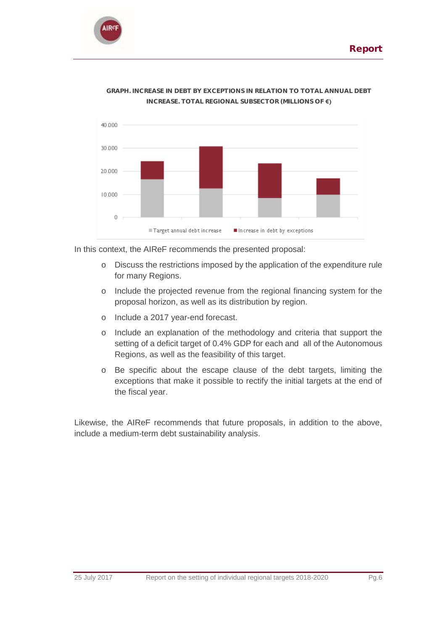



**GRAPH. INCREASE IN DEBT BY EXCEPTIONS IN RELATION TO TOTAL ANNUAL DEBT INCREASE. TOTAL REGIONAL SUBSECTOR (MILLIONS OF €)**

In this context, the AIReF recommends the presented proposal:

- o Discuss the restrictions imposed by the application of the expenditure rule for many Regions.
- o Include the projected revenue from the regional financing system for the proposal horizon, as well as its distribution by region.
- o Include a 2017 year-end forecast.
- o Include an explanation of the methodology and criteria that support the setting of a deficit target of 0.4% GDP for each and all of the Autonomous Regions, as well as the feasibility of this target.
- o Be specific about the escape clause of the debt targets, limiting the exceptions that make it possible to rectify the initial targets at the end of the fiscal year.

Likewise, the AIReF recommends that future proposals, in addition to the above, include a medium-term debt sustainability analysis.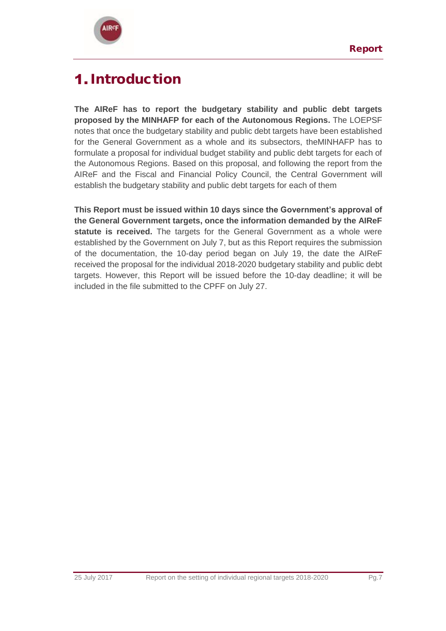

# <span id="page-6-0"></span>1. Introduction

**The AIReF has to report the budgetary stability and public debt targets proposed by the MINHAFP for each of the Autonomous Regions.** The LOEPSF notes that once the budgetary stability and public debt targets have been established for the General Government as a whole and its subsectors, theMINHAFP has to formulate a proposal for individual budget stability and public debt targets for each of the Autonomous Regions. Based on this proposal, and following the report from the AIReF and the Fiscal and Financial Policy Council, the Central Government will establish the budgetary stability and public debt targets for each of them

**This Report must be issued within 10 days since the Government's approval of the General Government targets, once the information demanded by the AIReF statute is received.** The targets for the General Government as a whole were established by the Government on July 7, but as this Report requires the submission of the documentation, the 10-day period began on July 19, the date the AIReF received the proposal for the individual 2018-2020 budgetary stability and public debt targets. However, this Report will be issued before the 10-day deadline; it will be included in the file submitted to the CPFF on July 27.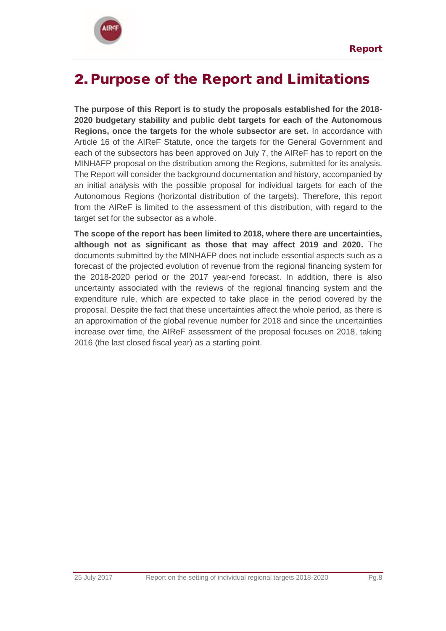

# <span id="page-7-0"></span>2. Purpose of the Report and Limitations

**The purpose of this Report is to study the proposals established for the 2018- 2020 budgetary stability and public debt targets for each of the Autonomous Regions, once the targets for the whole subsector are set.** In accordance with Article 16 of the AIReF Statute, once the targets for the General Government and each of the subsectors has been approved on July 7, the AIReF has to report on the MINHAFP proposal on the distribution among the Regions, submitted for its analysis. The Report will consider the background documentation and history, accompanied by an initial analysis with the possible proposal for individual targets for each of the Autonomous Regions (horizontal distribution of the targets). Therefore, this report from the AIReF is limited to the assessment of this distribution, with regard to the target set for the subsector as a whole.

**The scope of the report has been limited to 2018, where there are uncertainties, although not as significant as those that may affect 2019 and 2020.** The documents submitted by the MINHAFP does not include essential aspects such as a forecast of the projected evolution of revenue from the regional financing system for the 2018-2020 period or the 2017 year-end forecast. In addition, there is also uncertainty associated with the reviews of the regional financing system and the expenditure rule, which are expected to take place in the period covered by the proposal. Despite the fact that these uncertainties affect the whole period, as there is an approximation of the global revenue number for 2018 and since the uncertainties increase over time, the AIReF assessment of the proposal focuses on 2018, taking 2016 (the last closed fiscal year) as a starting point.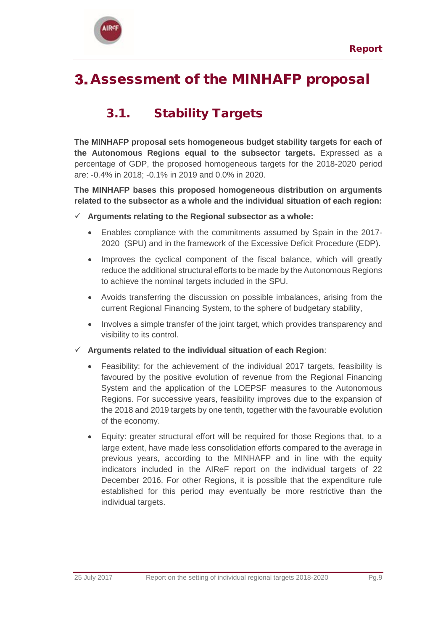

# <span id="page-8-0"></span>**3.** Assessment of the MINHAFP proposal

## <span id="page-8-1"></span>3.1. Stability Targets

**The MINHAFP proposal sets homogeneous budget stability targets for each of the Autonomous Regions equal to the subsector targets.** Expressed as a percentage of GDP, the proposed homogeneous targets for the 2018-2020 period are: -0.4% in 2018; -0.1% in 2019 and 0.0% in 2020.

**The MINHAFP bases this proposed homogeneous distribution on arguments related to the subsector as a whole and the individual situation of each region:**

- **Arguments relating to the Regional subsector as a whole:**
	- Enables compliance with the commitments assumed by Spain in the 2017- 2020 (SPU) and in the framework of the Excessive Deficit Procedure (EDP).
	- Improves the cyclical component of the fiscal balance, which will greatly reduce the additional structural efforts to be made by the Autonomous Regions to achieve the nominal targets included in the SPU.
	- Avoids transferring the discussion on possible imbalances, arising from the current Regional Financing System, to the sphere of budgetary stability,
	- Involves a simple transfer of the joint target, which provides transparency and visibility to its control.
- **Arguments related to the individual situation of each Region**:
	- Feasibility: for the achievement of the individual 2017 targets, feasibility is favoured by the positive evolution of revenue from the Regional Financing System and the application of the LOEPSF measures to the Autonomous Regions. For successive years, feasibility improves due to the expansion of the 2018 and 2019 targets by one tenth, together with the favourable evolution of the economy.
	- Equity: greater structural effort will be required for those Regions that, to a large extent, have made less consolidation efforts compared to the average in previous years, according to the MINHAFP and in line with the equity indicators included in the AIReF report on the individual targets of 22 December 2016. For other Regions, it is possible that the expenditure rule established for this period may eventually be more restrictive than the individual targets.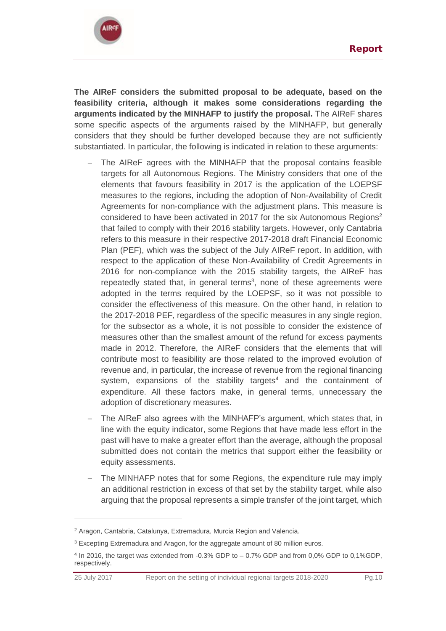

**The AIReF considers the submitted proposal to be adequate, based on the feasibility criteria, although it makes some considerations regarding the arguments indicated by the MINHAFP to justify the proposal.** The AIReF shares some specific aspects of the arguments raised by the MINHAFP, but generally considers that they should be further developed because they are not sufficiently substantiated. In particular, the following is indicated in relation to these arguments:

- The AIReF agrees with the MINHAFP that the proposal contains feasible targets for all Autonomous Regions. The Ministry considers that one of the elements that favours feasibility in 2017 is the application of the LOEPSF measures to the regions, including the adoption of Non-Availability of Credit Agreements for non-compliance with the adjustment plans. This measure is considered to have been activated in 2017 for the six Autonomous Regions<sup>2</sup> that failed to comply with their 2016 stability targets. However, only Cantabria refers to this measure in their respective 2017-2018 draft Financial Economic Plan (PEF), which was the subject of the July AIReF report. In addition, with respect to the application of these Non-Availability of Credit Agreements in 2016 for non-compliance with the 2015 stability targets, the AIReF has repeatedly stated that, in general terms<sup>3</sup>, none of these agreements were adopted in the terms required by the LOEPSF, so it was not possible to consider the effectiveness of this measure. On the other hand, in relation to the 2017-2018 PEF, regardless of the specific measures in any single region, for the subsector as a whole, it is not possible to consider the existence of measures other than the smallest amount of the refund for excess payments made in 2012. Therefore, the AIReF considers that the elements that will contribute most to feasibility are those related to the improved evolution of revenue and, in particular, the increase of revenue from the regional financing system, expansions of the stability targets<sup>4</sup> and the containment of expenditure. All these factors make, in general terms, unnecessary the adoption of discretionary measures.
- The AIReF also agrees with the MINHAFP's argument, which states that, in line with the equity indicator, some Regions that have made less effort in the past will have to make a greater effort than the average, although the proposal submitted does not contain the metrics that support either the feasibility or equity assessments.
- The MINHAFP notes that for some Regions, the expenditure rule may imply an additional restriction in excess of that set by the stability target, while also arguing that the proposal represents a simple transfer of the joint target, which

 $\overline{a}$ 

<sup>2</sup> Aragon, Cantabria, Catalunya, Extremadura, Murcia Region and Valencia.

<sup>&</sup>lt;sup>3</sup> Excepting Extremadura and Aragon, for the aggregate amount of 80 million euros.

<sup>4</sup> In 2016, the target was extended from -0.3% GDP to – 0.7% GDP and from 0,0% GDP to 0,1%GDP, respectively.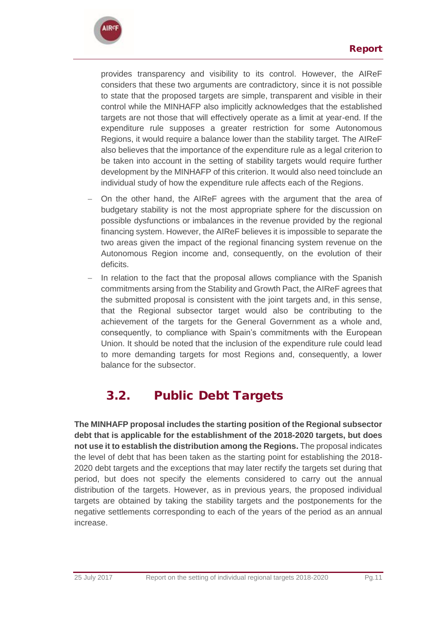

provides transparency and visibility to its control. However, the AIReF considers that these two arguments are contradictory, since it is not possible to state that the proposed targets are simple, transparent and visible in their control while the MINHAFP also implicitly acknowledges that the established targets are not those that will effectively operate as a limit at year-end. If the expenditure rule supposes a greater restriction for some Autonomous Regions, it would require a balance lower than the stability target. The AIReF also believes that the importance of the expenditure rule as a legal criterion to be taken into account in the setting of stability targets would require further development by the MINHAFP of this criterion. It would also need toinclude an individual study of how the expenditure rule affects each of the Regions.

- On the other hand, the AIReF agrees with the argument that the area of budgetary stability is not the most appropriate sphere for the discussion on possible dysfunctions or imbalances in the revenue provided by the regional financing system. However, the AIReF believes it is impossible to separate the two areas given the impact of the regional financing system revenue on the Autonomous Region income and, consequently, on the evolution of their deficits.
- In relation to the fact that the proposal allows compliance with the Spanish commitments arsing from the Stability and Growth Pact, the AIReF agrees that the submitted proposal is consistent with the joint targets and, in this sense, that the Regional subsector target would also be contributing to the achievement of the targets for the General Government as a whole and, consequently, to compliance with Spain's commitments with the European Union. It should be noted that the inclusion of the expenditure rule could lead to more demanding targets for most Regions and, consequently, a lower balance for the subsector.

## 3.2. Public Debt Targets

<span id="page-10-0"></span>**The MINHAFP proposal includes the starting position of the Regional subsector debt that is applicable for the establishment of the 2018-2020 targets, but does not use it to establish the distribution among the Regions.** The proposal indicates the level of debt that has been taken as the starting point for establishing the 2018- 2020 debt targets and the exceptions that may later rectify the targets set during that period, but does not specify the elements considered to carry out the annual distribution of the targets. However, as in previous years, the proposed individual targets are obtained by taking the stability targets and the postponements for the negative settlements corresponding to each of the years of the period as an annual increase.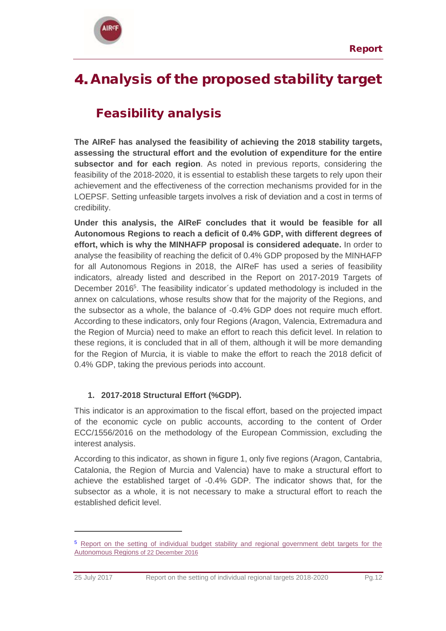

# <span id="page-11-0"></span>4. Analysis of the proposed stability target

## Feasibility analysis

**The AIReF has analysed the feasibility of achieving the 2018 stability targets, assessing the structural effort and the evolution of expenditure for the entire subsector and for each region**. As noted in previous reports, considering the feasibility of the 2018-2020, it is essential to establish these targets to rely upon their achievement and the effectiveness of the correction mechanisms provided for in the LOEPSF. Setting unfeasible targets involves a risk of deviation and a cost in terms of credibility.

**Under this analysis, the AIReF concludes that it would be feasible for all Autonomous Regions to reach a deficit of 0.4% GDP, with different degrees of effort, which is why the MINHAFP proposal is considered adequate.** In order to analyse the feasibility of reaching the deficit of 0.4% GDP proposed by the MINHAFP for all Autonomous Regions in 2018, the AIReF has used a series of feasibility indicators, already listed and described in the Report on 2017-2019 Targets of December 2016<sup>5</sup>. The feasibility indicator's updated methodology is included in the annex on calculations, whose results show that for the majority of the Regions, and the subsector as a whole, the balance of -0.4% GDP does not require much effort. According to these indicators, only four Regions (Aragon, Valencia, Extremadura and the Region of Murcia) need to make an effort to reach this deficit level. In relation to these regions, it is concluded that in all of them, although it will be more demanding for the Region of Murcia, it is viable to make the effort to reach the 2018 deficit of 0.4% GDP, taking the previous periods into account.

## **1. 2017-2018 Structural Effort (%GDP).**

 $\overline{a}$ 

This indicator is an approximation to the fiscal effort, based on the projected impact of the economic cycle on public accounts, according to the content of Order ECC/1556/2016 on the methodology of the European Commission, excluding the interest analysis.

According to this indicator, as shown in figure 1, only five regions (Aragon, Cantabria, Catalonia, the Region of Murcia and Valencia) have to make a structural effort to achieve the established target of -0.4% GDP. The indicator shows that, for the subsector as a whole, it is not necessary to make a structural effort to reach the established deficit level.

<sup>5</sup> [Report on the setting of individual budget stability and regional government debt targets for the](http://www.airef.es/en/reports/full-report-on-the-establishment-of-the-individual-budget-stability-and-public-debt-objectives-for-the-ccaa/)  [Autonomous Regions](http://www.airef.es/en/reports/full-report-on-the-establishment-of-the-individual-budget-stability-and-public-debt-objectives-for-the-ccaa/) of 22 December 2016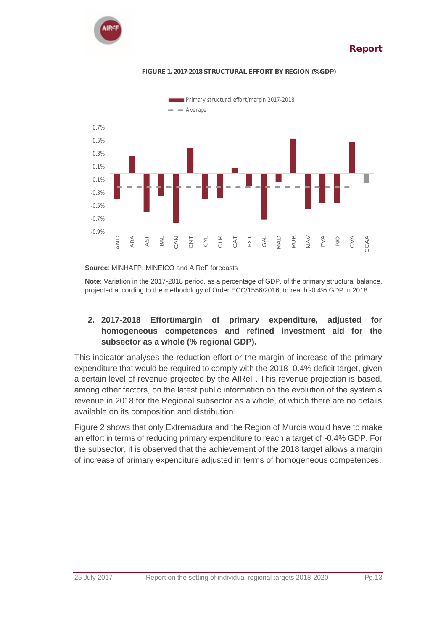



### **FIGURE 1. 2017-2018 STRUCTURAL EFFORT BY REGION (% GDP)**

**Source**: MINHAFP, MINEICO and AIReF forecasts

**Note**: Variation in the 2017-2018 period, as a percentage of GDP, of the primary structural balance, projected according to the methodology of Order ECC/1556/2016, to reach -0.4% GDP in 2018.

### **2. 2017-2018 Effort/margin of primary expenditure, adjusted for homogeneous competences and refined investment aid for the subsector as a whole (% regional GDP).**

This indicator analyses the reduction effort or the margin of increase of the primary expenditure that would be required to comply with the 2018 -0.4% deficit target, given a certain level of revenue projected by the AIReF. This revenue projection is based, among other factors, on the latest public information on the evolution of the system's revenue in 2018 for the Regional subsector as a whole, of which there are no details available on its composition and distribution.

Figure 2 shows that only Extremadura and the Region of Murcia would have to make an effort in terms of reducing primary expenditure to reach a target of -0.4% GDP. For the subsector, it is observed that the achievement of the 2018 target allows a margin of increase of primary expenditure adjusted in terms of homogeneous competences.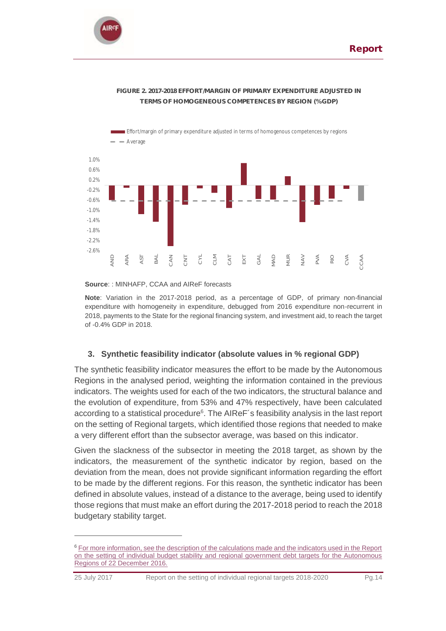

 $\overline{a}$ 



### **FIGURE 2. 2017-2018 EFFORT/MARGIN OF PRIMARY EXPENDITURE ADJUSTED IN TERMS OF HOMOGENEOUS COMPETENCES BY REGION (% GDP)**

**Source**: : MINHAFP, CCAA and AIReF forecasts

**Note**: Variation in the 2017-2018 period, as a percentage of GDP, of primary non-financial expenditure with homogeneity in expenditure, debugged from 2016 expenditure non-recurrent in 2018, payments to the State for the regional financing system, and investment aid, to reach the target of -0.4% GDP in 2018.

### **3. Synthetic feasibility indicator (absolute values in % regional GDP)**

The synthetic feasibility indicator measures the effort to be made by the Autonomous Regions in the analysed period, weighting the information contained in the previous indicators. The weights used for each of the two indicators, the structural balance and the evolution of expenditure, from 53% and 47% respectively, have been calculated according to a statistical procedure<sup>6</sup>. The AIReF's feasibility analysis in the last report on the setting of Regional targets, which identified those regions that needed to make a very different effort than the subsector average, was based on this indicator.

Given the slackness of the subsector in meeting the 2018 target, as shown by the indicators, the measurement of the synthetic indicator by region, based on the deviation from the mean, does not provide significant information regarding the effort to be made by the different regions. For this reason, the synthetic indicator has been defined in absolute values, instead of a distance to the average, being used to identify those regions that must make an effort during the 2017-2018 period to reach the 2018 budgetary stability target.

<sup>&</sup>lt;sup>6</sup> For more information, see the description of the calculations made and the indicators used in the Report [on the setting of individual budget stability and regional government debt targets for the Autonomous](http://www.airef.es/en/reports/full-report-on-the-establishment-of-the-individual-budget-stability-and-public-debt-objectives-for-the-ccaa/)  [Regions of 22 December 2016.](http://www.airef.es/en/reports/full-report-on-the-establishment-of-the-individual-budget-stability-and-public-debt-objectives-for-the-ccaa/)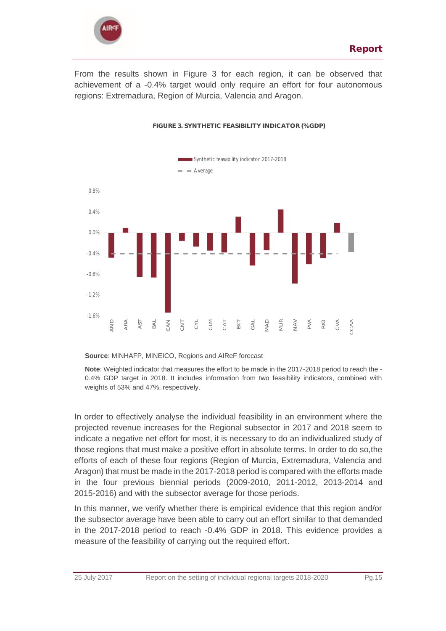

From the results shown in Figure 3 for each region, it can be observed that achievement of a -0.4% target would only require an effort for four autonomous regions: Extremadura, Region of Murcia, Valencia and Aragon.



### **FIGURE 3. SYNTHETIC FEASIBILITY INDICATOR (% GDP)**

### **Source**: MINHAFP, MINEICO, Regions and AIReF forecast

**Note**: Weighted indicator that measures the effort to be made in the 2017-2018 period to reach the - 0.4% GDP target in 2018. It includes information from two feasibility indicators, combined with weights of 53% and 47%, respectively.

In order to effectively analyse the individual feasibility in an environment where the projected revenue increases for the Regional subsector in 2017 and 2018 seem to indicate a negative net effort for most, it is necessary to do an individualized study of those regions that must make a positive effort in absolute terms. In order to do so,the efforts of each of these four regions (Region of Murcia, Extremadura, Valencia and Aragon) that must be made in the 2017-2018 period is compared with the efforts made in the four previous biennial periods (2009-2010, 2011-2012, 2013-2014 and 2015-2016) and with the subsector average for those periods.

In this manner, we verify whether there is empirical evidence that this region and/or the subsector average have been able to carry out an effort similar to that demanded in the 2017-2018 period to reach -0.4% GDP in 2018. This evidence provides a measure of the feasibility of carrying out the required effort.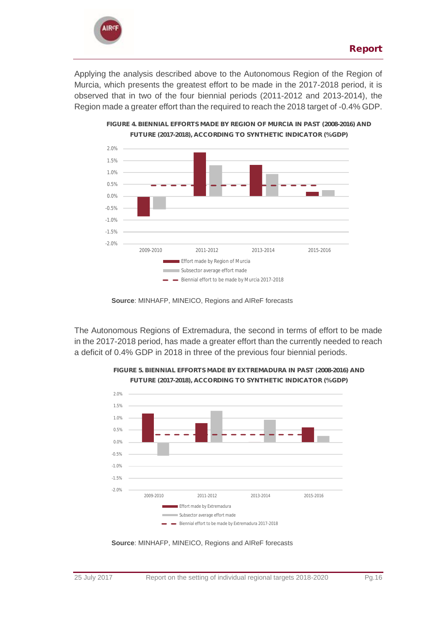

Applying the analysis described above to the Autonomous Region of the Region of Murcia, which presents the greatest effort to be made in the 2017-2018 period, it is observed that in two of the four biennial periods (2011-2012 and 2013-2014), the Region made a greater effort than the required to reach the 2018 target of -0.4% GDP.



**Source**: MINHAFP, MINEICO, Regions and AIReF forecasts

The Autonomous Regions of Extremadura, the second in terms of effort to be made in the 2017-2018 period, has made a greater effort than the currently needed to reach a deficit of 0.4% GDP in 2018 in three of the previous four biennial periods.



**FIGURE 5. BIENNIAL EFFORTS MADE BY EXTREMADURA IN PAST (2008-2016) AND FUTURE (2017-2018), ACCORDING TO SYNTHETIC INDICATOR (% GDP)**

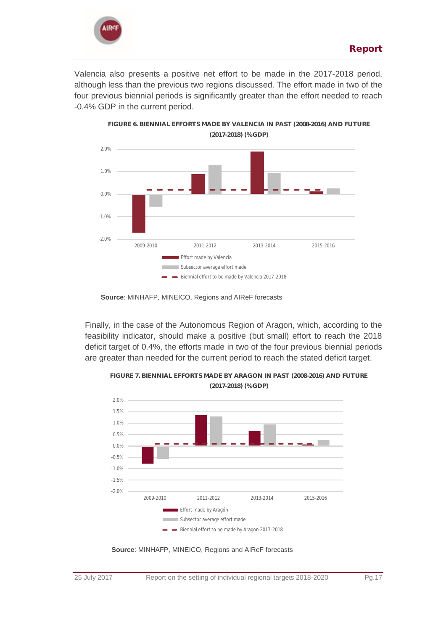

Valencia also presents a positive net effort to be made in the 2017-2018 period, although less than the previous two regions discussed. The effort made in two of the four previous biennial periods is significantly greater than the effort needed to reach -0.4% GDP in the current period.



**Source**: MINHAFP, MINEICO, Regions and AIReF forecasts

Finally, in the case of the Autonomous Region of Aragon, which, according to the feasibility indicator, should make a positive (but small) effort to reach the 2018 deficit target of 0.4%, the efforts made in two of the four previous biennial periods are greater than needed for the current period to reach the stated deficit target.



**FIGURE 7. BIENNIAL EFFORTS MADE BY ARAGON IN PAST (2008-2016) AND FUTURE** 

**Source**: MINHAFP, MINEICO, Regions and AIReF forecasts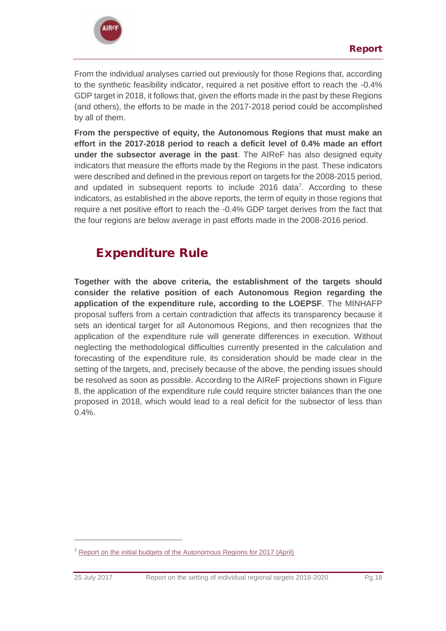

From the individual analyses carried out previously for those Regions that, according to the synthetic feasibility indicator, required a net positive effort to reach the -0.4% GDP target in 2018, it follows that, given the efforts made in the past by these Regions (and others), the efforts to be made in the 2017-2018 period could be accomplished by all of them.

**From the perspective of equity, the Autonomous Regions that must make an effort in the 2017-2018 period to reach a deficit level of 0.4% made an effort under the subsector average in the past**. The AIReF has also designed equity indicators that measure the efforts made by the Regions in the past. These indicators were described and defined in the previous report on targets for the 2008-2015 period, and updated in subsequent reports to include 2016 data<sup>7</sup>. According to these indicators, as established in the above reports, the term of equity in those regions that require a net positive effort to reach the -0.4% GDP target derives from the fact that the four regions are below average in past efforts made in the 2008-2016 period.

## Expenditure Rule

**Together with the above criteria, the establishment of the targets should consider the relative position of each Autonomous Region regarding the application of the expenditure rule, according to the LOEPSF**. The MINHAFP proposal suffers from a certain contradiction that affects its transparency because it sets an identical target for all Autonomous Regions, and then recognizes that the application of the expenditure rule will generate differences in execution. Without neglecting the methodological difficulties currently presented in the calculation and forecasting of the expenditure rule, its consideration should be made clear in the setting of the targets, and, precisely because of the above, the pending issues should be resolved as soon as possible. According to the AIReF projections shown in Figure 8, the application of the expenditure rule could require stricter balances than the one proposed in 2018, which would lead to a real deficit for the subsector of less than 0.4%.

 $\overline{a}$ 

<sup>&</sup>lt;sup>7</sup> [Report on the initial budgets of the Autonomous Regions for 2017 \(April\)](http://www.airef.es/en/reports/report-on-the-initial-budgets-of-the-autonomous-communities-for-2017/)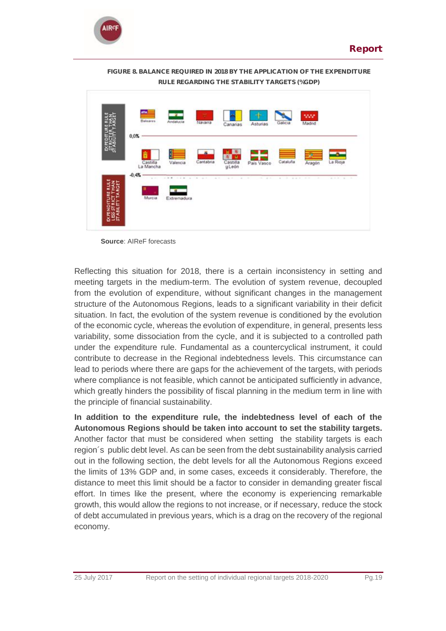



**FIGURE 8. BALANCE REQUIRED IN 2018 BY THE APPLICATION OF THE EXPENDITURE RULE REGARDING THE STABILITY TARGETS (%GDP)**

**Source**: AIReF forecasts

Reflecting this situation for 2018, there is a certain inconsistency in setting and meeting targets in the medium-term. The evolution of system revenue, decoupled from the evolution of expenditure, without significant changes in the management structure of the Autonomous Regions, leads to a significant variability in their deficit situation. In fact, the evolution of the system revenue is conditioned by the evolution of the economic cycle, whereas the evolution of expenditure, in general, presents less variability, some dissociation from the cycle, and it is subjected to a controlled path under the expenditure rule. Fundamental as a countercyclical instrument, it could contribute to decrease in the Regional indebtedness levels. This circumstance can lead to periods where there are gaps for the achievement of the targets, with periods where compliance is not feasible, which cannot be anticipated sufficiently in advance, which greatly hinders the possibility of fiscal planning in the medium term in line with the principle of financial sustainability.

**In addition to the expenditure rule, the indebtedness level of each of the Autonomous Regions should be taken into account to set the stability targets.**  Another factor that must be considered when setting the stability targets is each region´s public debt level. As can be seen from the debt sustainability analysis carried out in the following section, the debt levels for all the Autonomous Regions exceed the limits of 13% GDP and, in some cases, exceeds it considerably. Therefore, the distance to meet this limit should be a factor to consider in demanding greater fiscal effort. In times like the present, where the economy is experiencing remarkable growth, this would allow the regions to not increase, or if necessary, reduce the stock of debt accumulated in previous years, which is a drag on the recovery of the regional economy.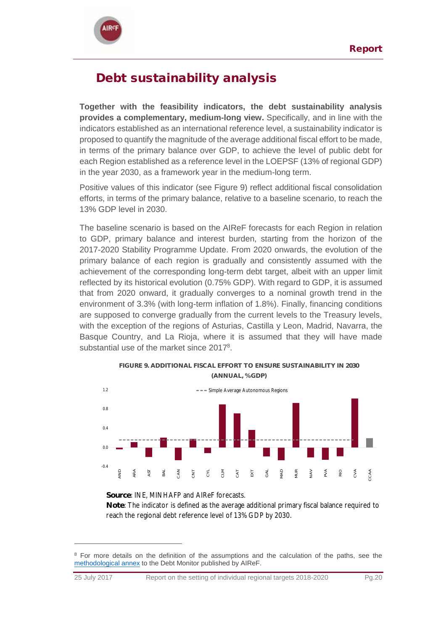

## Debt sustainability analysis

**Together with the feasibility indicators, the debt sustainability analysis provides a complementary, medium-long view.** Specifically, and in line with the indicators established as an international reference level, a sustainability indicator is proposed to quantify the magnitude of the average additional fiscal effort to be made, in terms of the primary balance over GDP, to achieve the level of public debt for each Region established as a reference level in the LOEPSF (13% of regional GDP) in the year 2030, as a framework year in the medium-long term.

Positive values of this indicator (see Figure 9) reflect additional fiscal consolidation efforts, in terms of the primary balance, relative to a baseline scenario, to reach the 13% GDP level in 2030.

The baseline scenario is based on the AIReF forecasts for each Region in relation to GDP, primary balance and interest burden, starting from the horizon of the 2017-2020 Stability Programme Update. From 2020 onwards, the evolution of the primary balance of each region is gradually and consistently assumed with the achievement of the corresponding long-term debt target, albeit with an upper limit reflected by its historical evolution (0.75% GDP). With regard to GDP, it is assumed that from 2020 onward, it gradually converges to a nominal growth trend in the environment of 3.3% (with long-term inflation of 1.8%). Finally, financing conditions are supposed to converge gradually from the current levels to the Treasury levels, with the exception of the regions of Asturias, Castilla y Leon, Madrid, Navarra, the Basque Country, and La Rioja, where it is assumed that they will have made substantial use of the market since 2017<sup>8</sup>.



**Source**: INE, MINHAFP and AIReF forecasts.

 $\overline{a}$ 

**Note**: The indicator is defined as the average additional primary fiscal balance required to reach the regional debt reference level of 13% GDP by 2030.

<sup>&</sup>lt;sup>8</sup> For more details on the definition of the assumptions and the calculation of the paths, see the [methodological annex](http://www.airef.es/wp-content/uploads/2018/09/2016-10-17-Observatorio-Nota-metodológica_EN.PDF.pdf) to the Debt Monitor published by AIReF.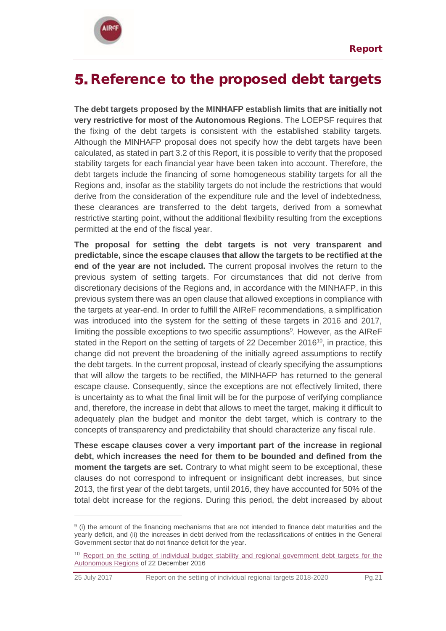

 $\overline{a}$ 

## <span id="page-20-0"></span>**5.** Reference to the proposed debt targets

**The debt targets proposed by the MINHAFP establish limits that are initially not very restrictive for most of the Autonomous Regions**. The LOEPSF requires that the fixing of the debt targets is consistent with the established stability targets. Although the MINHAFP proposal does not specify how the debt targets have been calculated, as stated in part 3.2 of this Report, it is possible to verify that the proposed stability targets for each financial year have been taken into account. Therefore, the debt targets include the financing of some homogeneous stability targets for all the Regions and, insofar as the stability targets do not include the restrictions that would derive from the consideration of the expenditure rule and the level of indebtedness, these clearances are transferred to the debt targets, derived from a somewhat restrictive starting point, without the additional flexibility resulting from the exceptions permitted at the end of the fiscal year.

**The proposal for setting the debt targets is not very transparent and predictable, since the escape clauses that allow the targets to be rectified at the end of the year are not included.** The current proposal involves the return to the previous system of setting targets. For circumstances that did not derive from discretionary decisions of the Regions and, in accordance with the MINHAFP, in this previous system there was an open clause that allowed exceptions in compliance with the targets at year-end. In order to fulfill the AIReF recommendations, a simplification was introduced into the system for the setting of these targets in 2016 and 2017, limiting the possible exceptions to two specific assumptions<sup>9</sup>. However, as the AIReF stated in the Report on the setting of targets of 22 December 2016<sup>10</sup>, in practice, this change did not prevent the broadening of the initially agreed assumptions to rectify the debt targets. In the current proposal, instead of clearly specifying the assumptions that will allow the targets to be rectified, the MINHAFP has returned to the general escape clause. Consequently, since the exceptions are not effectively limited, there is uncertainty as to what the final limit will be for the purpose of verifying compliance and, therefore, the increase in debt that allows to meet the target, making it difficult to adequately plan the budget and monitor the debt target, which is contrary to the concepts of transparency and predictability that should characterize any fiscal rule.

**These escape clauses cover a very important part of the increase in regional debt, which increases the need for them to be bounded and defined from the moment the targets are set.** Contrary to what might seem to be exceptional, these clauses do not correspond to infrequent or insignificant debt increases, but since 2013, the first year of the debt targets, until 2016, they have accounted for 50% of the total debt increase for the regions. During this period, the debt increased by about

 $9$  (i) the amount of the financing mechanisms that are not intended to finance debt maturities and the yearly deficit, and (ii) the increases in debt derived from the reclassifications of entities in the General Government sector that do not finance deficit for the year.

<sup>&</sup>lt;sup>10</sup> Report on the setting of individual budget stability and regional government debt targets for the [Autonomous Regions](http://www.airef.es/informes/-/asset_publisher/lj3Zi6KgDH3f/content/informe-completo-sobre-el-establecimiento-de-los-objetivos-individuales-de-estabilidad-presupuestaria-y-deuda-publica-para-las-ccaa?inheritRedirect=false&redirect=http%3A%2F%2Fwww.airef.es%2Finformes%3Fp_p_id%3D101_INSTANCE_lj3Zi6KgDH3f%26p_p_lifecycle%3D0%26p_p_state%3Dnormal%26p_p_mode%3Dview%26p_p_col_id%3Dcolumn-1%26p_p_col_count%3D1%26_101_INSTANCE_lj3Zi6KgDH3f_advancedSearch%3Dfalse%26_101_INSTANCE_lj3Zi6KgDH3f_keywords%3D%26_101_INSTANCE_lj3Zi6KgDH3f_delta%3D10%26p_r_p_564233524_resetCur%3Dfalse%26_101_INSTANCE_lj3Zi6KgDH3f_cur%3D2%26_101_INSTANCE_lj3Zi6KgDH3f_andOperator%3Dtrue) of 22 December 2016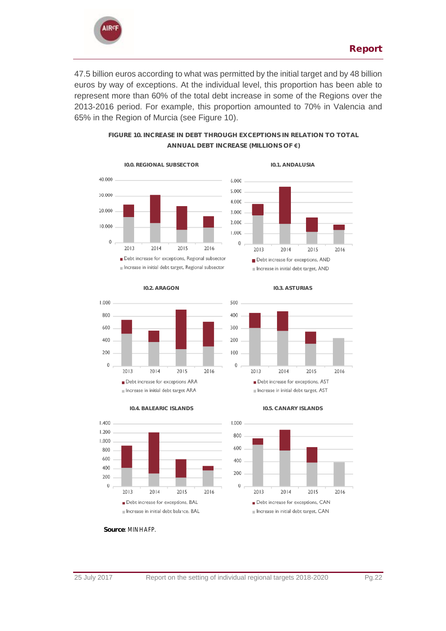

47.5 billion euros according to what was permitted by the initial target and by 48 billion euros by way of exceptions. At the individual level, this proportion has been able to represent more than 60% of the total debt increase in some of the Regions over the 2013-2016 period. For example, this proportion amounted to 70% in Valencia and 65% in the Region of Murcia (see Figure 10).

> **FIGURE 10. INCREASE IN DEBT THROUGH EXCEPTIONS IN RELATION TO TOTAL ANNUAL DEBT INCREASE (MILLIONS OF €)**













**I0.4. BALEARIC ISLANDS I0.5. CANARY ISLANDS**

Increase in initial debt target ARA





 $\theta$ 

**Source**: MINHAFP.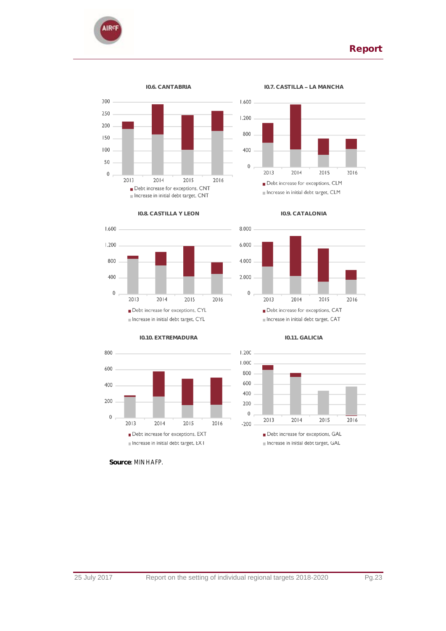









**Source**: MINHAFP.









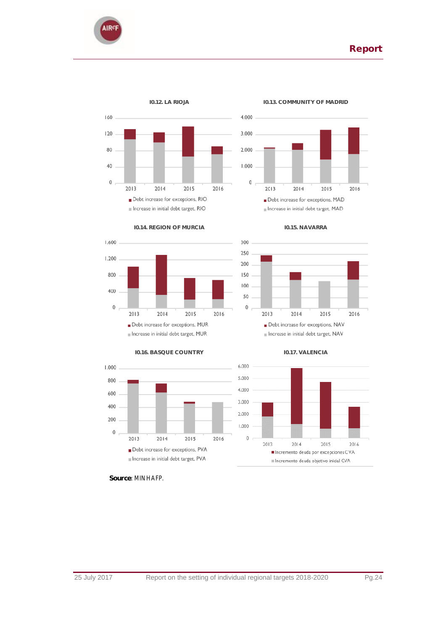





### **I0.14. REGION OF MURCIA I0.15. NAVARRA**













**Source**: MINHAFP.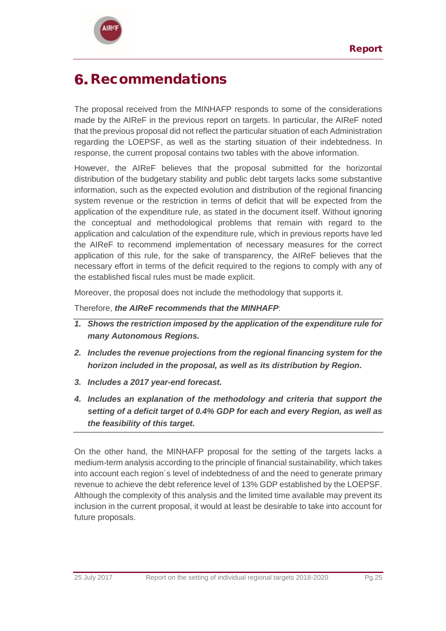

# <span id="page-24-0"></span>6. Recommendations

The proposal received from the MINHAFP responds to some of the considerations made by the AIReF in the previous report on targets. In particular, the AIReF noted that the previous proposal did not reflect the particular situation of each Administration regarding the LOEPSF, as well as the starting situation of their indebtedness. In response, the current proposal contains two tables with the above information.

However, the AIReF believes that the proposal submitted for the horizontal distribution of the budgetary stability and public debt targets lacks some substantive information, such as the expected evolution and distribution of the regional financing system revenue or the restriction in terms of deficit that will be expected from the application of the expenditure rule, as stated in the document itself. Without ignoring the conceptual and methodological problems that remain with regard to the application and calculation of the expenditure rule, which in previous reports have led the AIReF to recommend implementation of necessary measures for the correct application of this rule, for the sake of transparency, the AIReF believes that the necessary effort in terms of the deficit required to the regions to comply with any of the established fiscal rules must be made explicit.

Moreover, the proposal does not include the methodology that supports it.

Therefore, *the AIReF recommends that the MINHAFP*:

- *1. Shows the restriction imposed by the application of the expenditure rule for many Autonomous Regions.*
- *2. Includes the revenue projections from the regional financing system for the horizon included in the proposal, as well as its distribution by Region.*
- *3. Includes a 2017 year-end forecast.*
- *4. Includes an explanation of the methodology and criteria that support the setting of a deficit target of 0.4% GDP for each and every Region, as well as the feasibility of this target.*

On the other hand, the MINHAFP proposal for the setting of the targets lacks a medium-term analysis according to the principle of financial sustainability, which takes into account each region´s level of indebtedness of and the need to generate primary revenue to achieve the debt reference level of 13% GDP established by the LOEPSF. Although the complexity of this analysis and the limited time available may prevent its inclusion in the current proposal, it would at least be desirable to take into account for future proposals.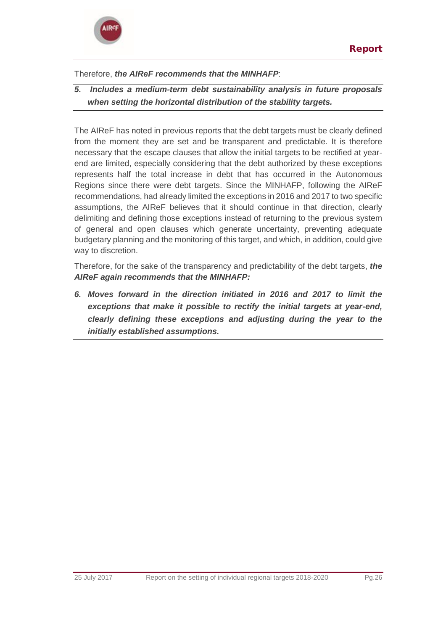### Therefore, *the AIReF recommends that the MINHAFP*:

*5. Includes a medium-term debt sustainability analysis in future proposals when setting the horizontal distribution of the stability targets.*

The AIReF has noted in previous reports that the debt targets must be clearly defined from the moment they are set and be transparent and predictable. It is therefore necessary that the escape clauses that allow the initial targets to be rectified at yearend are limited, especially considering that the debt authorized by these exceptions represents half the total increase in debt that has occurred in the Autonomous Regions since there were debt targets. Since the MINHAFP, following the AIReF recommendations, had already limited the exceptions in 2016 and 2017 to two specific assumptions, the AIReF believes that it should continue in that direction, clearly delimiting and defining those exceptions instead of returning to the previous system of general and open clauses which generate uncertainty, preventing adequate budgetary planning and the monitoring of this target, and which, in addition, could give way to discretion.

Therefore, for the sake of the transparency and predictability of the debt targets, *the AIReF again recommends that the MINHAFP:*

*6. Moves forward in the direction initiated in 2016 and 2017 to limit the exceptions that make it possible to rectify the initial targets at year-end, clearly defining these exceptions and adjusting during the year to the initially established assumptions.*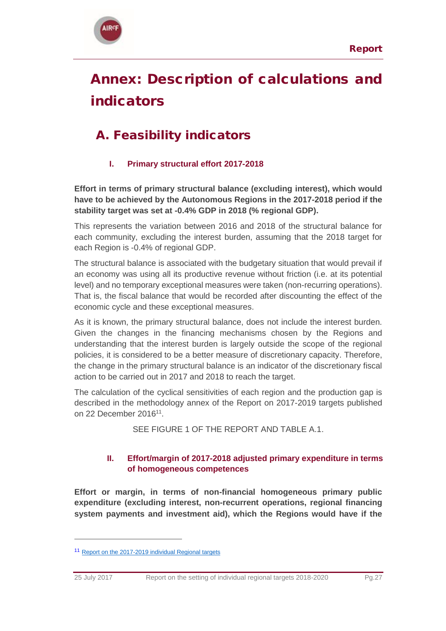

# <span id="page-26-0"></span>Annex: Description of calculations and indicators

## A. Feasibility indicators

## **I. Primary structural effort 2017-2018**

**Effort in terms of primary structural balance (excluding interest), which would have to be achieved by the Autonomous Regions in the 2017-2018 period if the stability target was set at -0.4% GDP in 2018 (% regional GDP).**

This represents the variation between 2016 and 2018 of the structural balance for each community, excluding the interest burden, assuming that the 2018 target for each Region is -0.4% of regional GDP.

The structural balance is associated with the budgetary situation that would prevail if an economy was using all its productive revenue without friction (i.e. at its potential level) and no temporary exceptional measures were taken (non-recurring operations). That is, the fiscal balance that would be recorded after discounting the effect of the economic cycle and these exceptional measures.

As it is known, the primary structural balance, does not include the interest burden. Given the changes in the financing mechanisms chosen by the Regions and understanding that the interest burden is largely outside the scope of the regional policies, it is considered to be a better measure of discretionary capacity. Therefore, the change in the primary structural balance is an indicator of the discretionary fiscal action to be carried out in 2017 and 2018 to reach the target.

The calculation of the cyclical sensitivities of each region and the production gap is described in the methodology annex of the Report on 2017-2019 targets published on 22 December 2016<sup>11</sup>.

SEE FIGURE 1 OF THE REPORT AND TABLE A.1.

## **II. Effort/margin of 2017-2018 adjusted primary expenditure in terms of homogeneous competences**

**Effort or margin, in terms of non-financial homogeneous primary public expenditure (excluding interest, non-recurrent operations, regional financing system payments and investment aid), which the Regions would have if the** 

 $\overline{a}$ 

<sup>11</sup> [Report on the 2017-2019 individual Regional targets](http://www.airef.es/en/reports/full-report-on-the-establishment-of-the-individual-budget-stability-and-public-debt-objectives-for-the-ccaa/)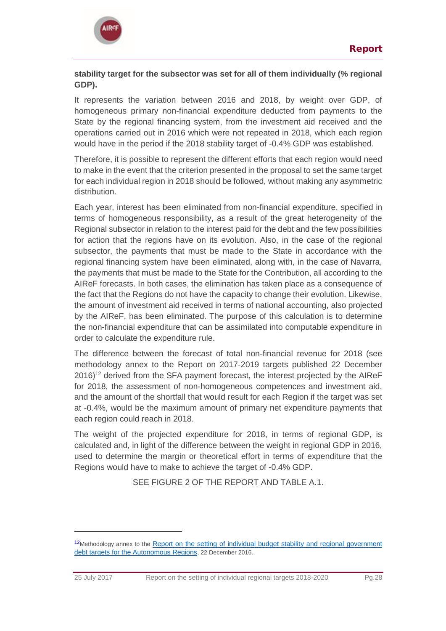

### **stability target for the subsector was set for all of them individually (% regional GDP).**

It represents the variation between 2016 and 2018, by weight over GDP, of homogeneous primary non-financial expenditure deducted from payments to the State by the regional financing system, from the investment aid received and the operations carried out in 2016 which were not repeated in 2018, which each region would have in the period if the 2018 stability target of -0.4% GDP was established.

Therefore, it is possible to represent the different efforts that each region would need to make in the event that the criterion presented in the proposal to set the same target for each individual region in 2018 should be followed, without making any asymmetric distribution.

Each year, interest has been eliminated from non-financial expenditure, specified in terms of homogeneous responsibility, as a result of the great heterogeneity of the Regional subsector in relation to the interest paid for the debt and the few possibilities for action that the regions have on its evolution. Also, in the case of the regional subsector, the payments that must be made to the State in accordance with the regional financing system have been eliminated, along with, in the case of Navarra, the payments that must be made to the State for the Contribution, all according to the AIReF forecasts. In both cases, the elimination has taken place as a consequence of the fact that the Regions do not have the capacity to change their evolution. Likewise, the amount of investment aid received in terms of national accounting, also projected by the AIReF, has been eliminated. The purpose of this calculation is to determine the non-financial expenditure that can be assimilated into computable expenditure in order to calculate the expenditure rule.

The difference between the forecast of total non-financial revenue for 2018 (see methodology annex to the Report on 2017-2019 targets published 22 December 2016)<sup>12</sup> derived from the SFA payment forecast, the interest projected by the AIReF for 2018, the assessment of non-homogeneous competences and investment aid, and the amount of the shortfall that would result for each Region if the target was set at -0.4%, would be the maximum amount of primary net expenditure payments that each region could reach in 2018.

The weight of the projected expenditure for 2018, in terms of regional GDP, is calculated and, in light of the difference between the weight in regional GDP in 2016, used to determine the margin or theoretical effort in terms of expenditure that the Regions would have to make to achieve the target of -0.4% GDP.

SEE FIGURE 2 OF THE REPORT AND TABLE A.1.

 $\overline{a}$ 

<sup>&</sup>lt;sup>12</sup>Methodology annex to the Report on the setting of individual budget stability and regional government [debt targets for the Autonomous Regions](http://www.airef.es/en/reports/full-report-on-the-establishment-of-the-individual-budget-stability-and-public-debt-objectives-for-the-ccaa/), 22 December 2016.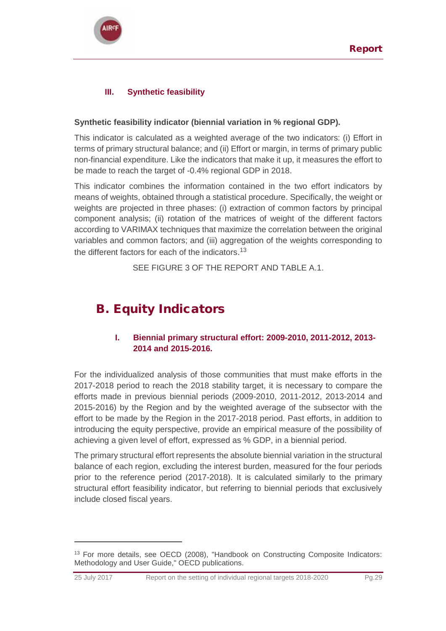

## **III. Synthetic feasibility**

### **Synthetic feasibility indicator (biennial variation in % regional GDP).**

This indicator is calculated as a weighted average of the two indicators: (i) Effort in terms of primary structural balance; and (ii) Effort or margin, in terms of primary public non-financial expenditure. Like the indicators that make it up, it measures the effort to be made to reach the target of -0.4% regional GDP in 2018.

This indicator combines the information contained in the two effort indicators by means of weights, obtained through a statistical procedure. Specifically, the weight or weights are projected in three phases: (i) extraction of common factors by principal component analysis; (ii) rotation of the matrices of weight of the different factors according to VARIMAX techniques that maximize the correlation between the original variables and common factors; and (iii) aggregation of the weights corresponding to the different factors for each of the indicators.<sup>13</sup>

SEE FIGURE 3 OF THE REPORT AND TABLE A.1.

## B. Equity Indicators

 $\overline{a}$ 

### **I. Biennial primary structural effort: 2009-2010, 2011-2012, 2013- 2014 and 2015-2016.**

For the individualized analysis of those communities that must make efforts in the 2017-2018 period to reach the 2018 stability target, it is necessary to compare the efforts made in previous biennial periods (2009-2010, 2011-2012, 2013-2014 and 2015-2016) by the Region and by the weighted average of the subsector with the effort to be made by the Region in the 2017-2018 period. Past efforts, in addition to introducing the equity perspective, provide an empirical measure of the possibility of achieving a given level of effort, expressed as % GDP, in a biennial period.

The primary structural effort represents the absolute biennial variation in the structural balance of each region, excluding the interest burden, measured for the four periods prior to the reference period (2017-2018). It is calculated similarly to the primary structural effort feasibility indicator, but referring to biennial periods that exclusively include closed fiscal years.

<sup>13</sup> For more details, see OECD (2008), "Handbook on Constructing Composite Indicators: Methodology and User Guide," OECD publications.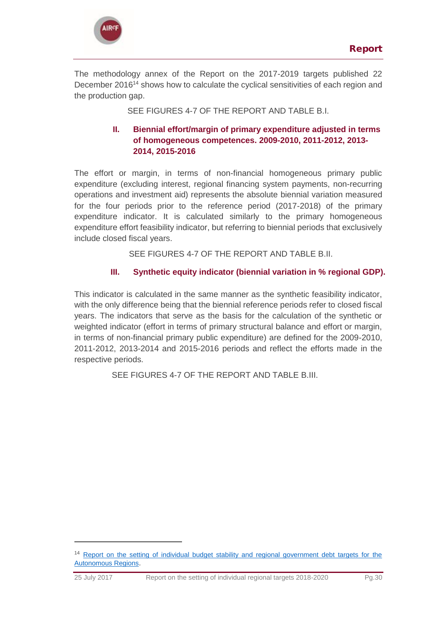



The methodology annex of the Report on the 2017-2019 targets published 22 December 2016<sup>14</sup> shows how to calculate the cyclical sensitivities of each region and the production gap.

SEE FIGURES 4-7 OF THE REPORT AND TABLE B.I.

### **II. Biennial effort/margin of primary expenditure adjusted in terms of homogeneous competences. 2009-2010, 2011-2012, 2013- 2014, 2015-2016**

The effort or margin, in terms of non-financial homogeneous primary public expenditure (excluding interest, regional financing system payments, non-recurring operations and investment aid) represents the absolute biennial variation measured for the four periods prior to the reference period (2017-2018) of the primary expenditure indicator. It is calculated similarly to the primary homogeneous expenditure effort feasibility indicator, but referring to biennial periods that exclusively include closed fiscal years.

SEE FIGURES 4-7 OF THE REPORT AND TABLE B.II.

### **III. Synthetic equity indicator (biennial variation in % regional GDP).**

This indicator is calculated in the same manner as the synthetic feasibility indicator, with the only difference being that the biennial reference periods refer to closed fiscal years. The indicators that serve as the basis for the calculation of the synthetic or weighted indicator (effort in terms of primary structural balance and effort or margin, in terms of non-financial primary public expenditure) are defined for the 2009-2010, 2011-2012, 2013-2014 and 2015-2016 periods and reflect the efforts made in the respective periods.

SEE FIGURES 4-7 OF THE REPORT AND TABLE B.III.

 $\overline{a}$ 

<sup>14</sup> [Report on the setting of individual budget stability and regional government debt targets for the](http://www.airef.es/en/reports/full-report-on-the-establishment-of-the-individual-budget-stability-and-public-debt-objectives-for-the-ccaa/)  [Autonomous Regions](http://www.airef.es/en/reports/full-report-on-the-establishment-of-the-individual-budget-stability-and-public-debt-objectives-for-the-ccaa/).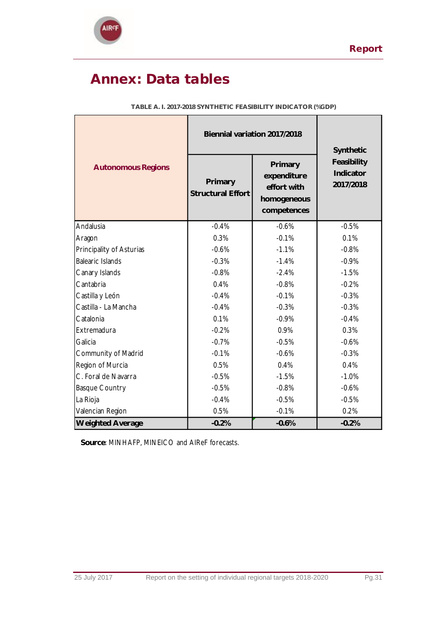

# <span id="page-30-0"></span>Annex: Data tables

|                           | Biennial variation 2017/2018 | Synthetic                                                           |                                       |
|---------------------------|------------------------------|---------------------------------------------------------------------|---------------------------------------|
| <b>Autonomous Regions</b> | Primary<br>Structural Effort | Primary<br>expenditure<br>effort with<br>homogeneous<br>competences | Feasibility<br>Indicator<br>2017/2018 |
| Andalusia                 | $-0.4%$                      | $-0.6%$                                                             | $-0.5%$                               |
| Aragon                    | 0.3%                         | $-0.1%$                                                             | 0.1%                                  |
| Principality of Asturias  | $-0.6%$                      | $-1.1%$                                                             | $-0.8%$                               |
| Balearic Islands          | $-0.3%$                      | $-1.4%$                                                             | $-0.9%$                               |
| Canary Islands            | $-0.8%$                      | $-2.4%$                                                             | $-1.5%$                               |
| Cantabria                 | 0.4%                         | $-0.8%$                                                             | $-0.2%$                               |
| Castilla y León           | $-0.4%$                      | $-0.1%$                                                             |                                       |
| Castilla - La Mancha      | $-0.4%$                      | $-0.3%$                                                             | $-0.3%$                               |
| Catalonia                 | 0.1%                         | $-0.9%$                                                             | $-0.4%$                               |
| Extremadura               | $-0.2%$                      | 0.9%                                                                | 0.3%                                  |
| Galicia                   | $-0.7%$                      | $-0.5%$                                                             | $-0.6%$                               |
| Community of Madrid       | $-0.1%$                      | $-0.6%$                                                             | $-0.3%$                               |
| Region of Murcia          | 0.5%                         | 0.4%                                                                | 0.4%                                  |
| C. Foral de Navarra       | $-0.5%$                      | $-1.5%$                                                             | $-1.0%$                               |
| <b>Basque Country</b>     | $-0.5%$                      | $-0.8%$                                                             | $-0.6%$                               |
| La Rioja                  | $-0.4%$                      | $-0.5%$                                                             | $-0.5%$                               |
| Valencian Region          | 0.5%                         | $-0.1%$                                                             | 0.2%                                  |
| <b>Weighted Average</b>   | $-0.2%$                      | $-0.6%$                                                             | $-0.2%$                               |

**TABLE A. I. 2017-2018 SYNTHETIC FEASIBILITY INDICATOR (%GDP)**

 **Source**: MINHAFP, MINEICO and AIReF forecasts.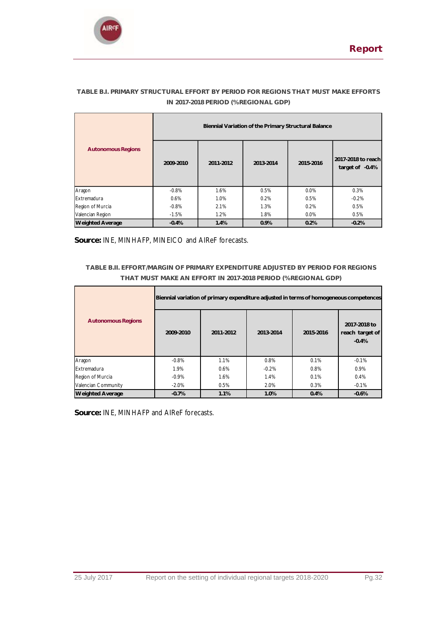

|                           | Biennial Variation of the Primary Structural Balance |           |           |           |                                         |
|---------------------------|------------------------------------------------------|-----------|-----------|-----------|-----------------------------------------|
| <b>Autonomous Regions</b> | 2009-2010                                            | 2011-2012 | 2013-2014 | 2015-2016 | 2017-2018 to reach<br>target of $-0.4%$ |
| Aragon                    | $-0.8%$                                              | 1.6%      | 0.5%      | $0.0\%$   | 0.3%                                    |
| Extremadura               | 0.6%                                                 | 1.0%      | 0.2%      | 0.5%      | $-0.2%$                                 |
| Region of Murcia          | $-0.8%$                                              | 2.1%      | 1.3%      | 0.2%      | 0.5%                                    |
| Valencian Region          | $-1.5%$                                              | 1.2%      | 1.8%      | $0.0\%$   | 0.5%                                    |
| <b>Weighted Average</b>   | $-0.4%$                                              | 1.4%      | 0.9%      | 0.2%      | $-0.2%$                                 |

### **TABLE B.I. PRIMARY STRUCTURAL EFFORT BY PERIOD FOR REGIONS THAT MUST MAKE EFFORTS IN 2017-2018 PERIOD (% REGIONAL GDP)**

**Source:** INE, MINHAFP, MINEICO and AIReF forecasts.

### **TABLE B.II. EFFORT/MARGIN OF PRIMARY EXPENDITURE ADJUSTED BY PERIOD FOR REGIONS THAT MUST MAKE AN EFFORT IN 2017-2018 PERIOD (% REGIONAL GDP)**

|                           | Biennial variation of primary expenditure adjusted in terms of homogeneous competences |           |           |           |                                            |
|---------------------------|----------------------------------------------------------------------------------------|-----------|-----------|-----------|--------------------------------------------|
| <b>Autonomous Regions</b> | 2009-2010                                                                              | 2011-2012 | 2013-2014 | 2015-2016 | 2017-2018 to<br>reach target of<br>$-0.4%$ |
| Aragon                    | $-0.8%$                                                                                | 1.1%      | 0.8%      | 0.1%      | $-0.1%$                                    |
| Extremadura               | 1.9%                                                                                   | 0.6%      | $-0.2%$   | 0.8%      | 0.9%                                       |
| Region of Murcia          | $-0.9%$                                                                                | 1.6%      | 1.4%      | 0.1%      | 0.4%                                       |
| Valencian Community       | $-2.0%$                                                                                | 0.5%      | 2.0%      | 0.3%      | $-0.1%$                                    |
| <b>Weighted Average</b>   | $-0.7%$                                                                                | 1.1%      | 1.0%      | 0.4%      | $-0.6%$                                    |

**Source:** INE, MINHAFP and AIReF forecasts.